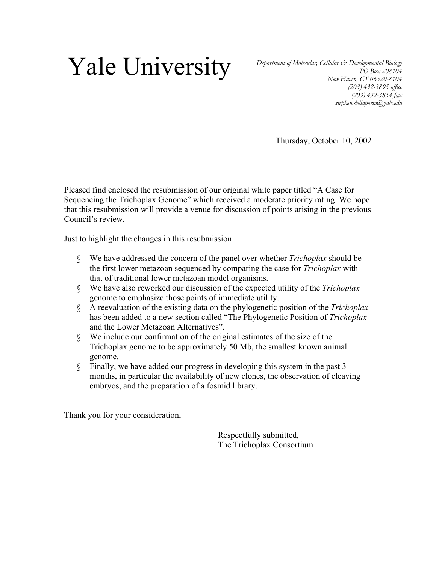# **Yale University** *Department of Molecular, Cellular & Developmental Biology PO Box 208104*

*PO Box 208104 New Haven, CT 06520-8104 (203) 432-3895 office (203) 432-3854 fax stephen.dellaporta@yale.edu*

Thursday, October 10, 2002

Pleased find enclosed the resubmission of our original white paper titled "A Case for Sequencing the Trichoplax Genome" which received a moderate priority rating. We hope that this resubmission will provide a venue for discussion of points arising in the previous Council's review.

Just to highlight the changes in this resubmission:

- § We have addressed the concern of the panel over whether *Trichoplax* should be the first lower metazoan sequenced by comparing the case for *Trichoplax* with that of traditional lower metazoan model organisms.
- § We have also reworked our discussion of the expected utility of the *Trichoplax* genome to emphasize those points of immediate utility.
- § A reevaluation of the existing data on the phylogenetic position of the *Trichoplax* has been added to a new section called "The Phylogenetic Position of *Trichoplax*  and the Lower Metazoan Alternatives".
- § We include our confirmation of the original estimates of the size of the Trichoplax genome to be approximately 50 Mb, the smallest known animal genome.
- § Finally, we have added our progress in developing this system in the past 3 months, in particular the availability of new clones, the observation of cleaving embryos, and the preparation of a fosmid library.

Thank you for your consideration,

Respectfully submitted, The Trichoplax Consortium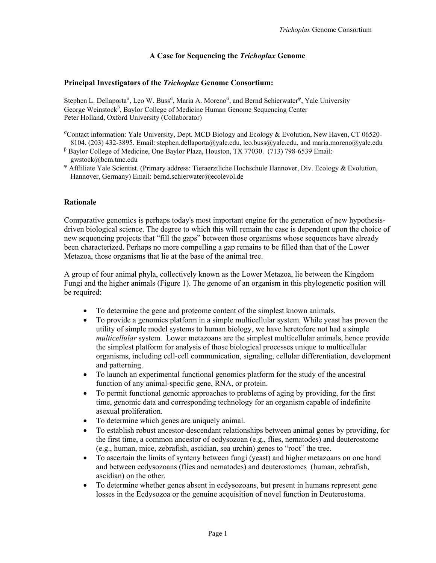# **A Case for Sequencing the** *Trichoplax* **Genome**

#### **Principal Investigators of the** *Trichoplax* **Genome Consortium:**

Stephen L. Dellaporta<sup>o</sup>, Leo W. Buss<sup>o</sup>, Maria A. Moreno<sup>o</sup>, and Bernd Schierwater<sup>y</sup>, Yale University George Weinstock<sup>β</sup>, Baylor College of Medicine Human Genome Sequencing Center Peter Holland, Oxford University (Collaborator)

- <sup>o</sup>Contact information: Yale University, Dept. MCD Biology and Ecology & Evolution, New Haven, CT 06520-8104. (203) 432-3895. Email: stephen.dellaporta@yale.edu, leo.buss@yale.edu, and maria.moreno@yale.edu
- β Baylor College of Medicine, One Baylor Plaza, Houston, TX 77030. (713) 798-6539 Email: gwstock@bcm.tmc.edu
- <sup>ψ</sup> Affliliate Yale Scientist. (Primary address: Tieraerztliche Hochschule Hannover, Div. Ecology & Evolution, Hannover, Germany) Email: bernd.schierwater@ecolevol.de

#### **Rationale**

Comparative genomics is perhaps today's most important engine for the generation of new hypothesisdriven biological science. The degree to which this will remain the case is dependent upon the choice of new sequencing projects that "fill the gaps" between those organisms whose sequences have already been characterized. Perhaps no more compelling a gap remains to be filled than that of the Lower Metazoa, those organisms that lie at the base of the animal tree.

A group of four animal phyla, collectively known as the Lower Metazoa, lie between the Kingdom Fungi and the higher animals (Figure 1). The genome of an organism in this phylogenetic position will be required:

- To determine the gene and proteome content of the simplest known animals.
- To provide a genomics platform in a simple multicellular system. While yeast has proven the utility of simple model systems to human biology, we have heretofore not had a simple *multicellular* system. Lower metazoans are the simplest multicellular animals, hence provide the simplest platform for analysis of those biological processes unique to multicellular organisms, including cell-cell communication, signaling, cellular differentiation, development and patterning.
- To launch an experimental functional genomics platform for the study of the ancestral function of any animal-specific gene, RNA, or protein.
- To permit functional genomic approaches to problems of aging by providing, for the first time, genomic data and corresponding technology for an organism capable of indefinite asexual proliferation.
- To determine which genes are uniquely animal.
- To establish robust ancestor-descendant relationships between animal genes by providing, for the first time, a common ancestor of ecdysozoan (e.g., flies, nematodes) and deuterostome (e.g., human, mice, zebrafish, ascidian, sea urchin) genes to "root" the tree.
- To ascertain the limits of synteny between fungi (yeast) and higher metazoans on one hand and between ecdysozoans (flies and nematodes) and deuterostomes (human, zebrafish, ascidian) on the other.
- To determine whether genes absent in ecdysozoans, but present in humans represent gene losses in the Ecdysozoa or the genuine acquisition of novel function in Deuterostoma.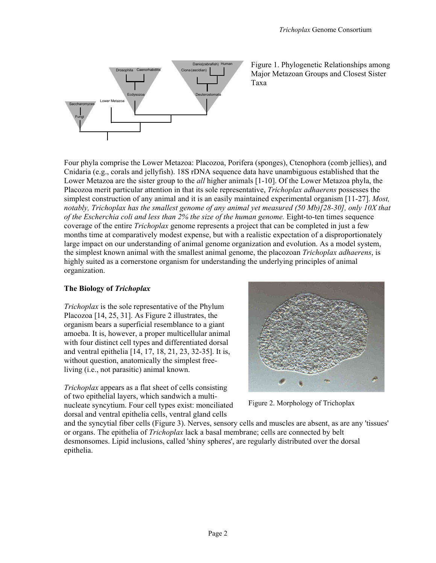

Figure 1. Phylogenetic Relationships among Major Metazoan Groups and Closest Sister Taxa

Four phyla comprise the Lower Metazoa: Placozoa, Porifera (sponges), Ctenophora (comb jellies), and Cnidaria (e.g., corals and jellyfish). 18S rDNA sequence data have unambiguous established that the Lower Metazoa are the sister group to the *all* higher animals [1-10]. Of the Lower Metazoa phyla, the Placozoa merit particular attention in that its sole representative, *Trichoplax adhaerens* possesses the simplest construction of any animal and it is an easily maintained experimental organism [11-27]. *Most, notably, Trichoplax has the smallest genome of any animal yet measured (50 Mb)[28-30], only 10X that of the Escherchia coli and less than 2% the size of the human genome.* Eight-to-ten times sequence coverage of the entire *Trichoplax* genome represents a project that can be completed in just a few months time at comparatively modest expense, but with a realistic expectation of a disproportionately large impact on our understanding of animal genome organization and evolution. As a model system, the simplest known animal with the smallest animal genome, the placozoan *Trichoplax adhaerens*, is highly suited as a cornerstone organism for understanding the underlying principles of animal organization.

# **The Biology of** *Trichoplax*

*Trichoplax* is the sole representative of the Phylum Placozoa [14, 25, 31]. As Figure 2 illustrates, the organism bears a superficial resemblance to a giant amoeba. It is, however, a proper multicellular animal with four distinct cell types and differentiated dorsal and ventral epithelia [14, 17, 18, 21, 23, 32-35]. It is, without question, anatomically the simplest freeliving (i.e., not parasitic) animal known.

*Trichoplax* appears as a flat sheet of cells consisting of two epithelial layers, which sandwich a multinucleate syncytium. Four cell types exist: monciliated dorsal and ventral epithelia cells, ventral gland cells



Figure 2. Morphology of Trichoplax

and the syncytial fiber cells (Figure 3). Nerves, sensory cells and muscles are absent, as are any 'tissues' or organs. The epithelia of *Trichoplax* lack a basal membrane; cells are connected by belt desmonsomes. Lipid inclusions, called 'shiny spheres', are regularly distributed over the dorsal epithelia.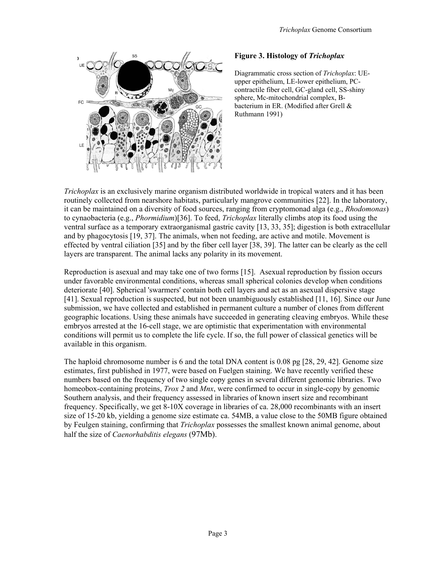

#### **Figure 3. Histology of** *Trichoplax*

Diagrammatic cross section of *Trichoplax*: UEupper epithelium, LE-lower epithelium, PCcontractile fiber cell, GC-gland cell, SS-shiny sphere, Mc-mitochondrial complex, Bbacterium in ER. (Modified after Grell & Ruthmann 1991)

*Trichoplax* is an exclusively marine organism distributed worldwide in tropical waters and it has been routinely collected from nearshore habitats, particularly mangrove communities [22]. In the laboratory, it can be maintained on a diversity of food sources, ranging from cryptomonad alga (e.g., *Rhodomonas*) to cynaobacteria (e.g., *Phormidium*)[36]. To feed, *Trichoplax* literally climbs atop its food using the ventral surface as a temporary extraorganismal gastric cavity [13, 33, 35]; digestion is both extracellular and by phagocytosis [19, 37]. The animals, when not feeding, are active and motile. Movement is effected by ventral ciliation [35] and by the fiber cell layer [38, 39]. The latter can be clearly as the cell layers are transparent. The animal lacks any polarity in its movement.

Reproduction is asexual and may take one of two forms [15]. Asexual reproduction by fission occurs under favorable environmental conditions, whereas small spherical colonies develop when conditions deteriorate [40]. Spherical 'swarmers' contain both cell layers and act as an asexual dispersive stage [41]. Sexual reproduction is suspected, but not been unambiguously established [11, 16]. Since our June submission, we have collected and established in permanent culture a number of clones from different geographic locations. Using these animals have succeeded in generating cleaving embryos. While these embryos arrested at the 16-cell stage, we are optimistic that experimentation with environmental conditions will permit us to complete the life cycle. If so, the full power of classical genetics will be available in this organism.

The haploid chromosome number is 6 and the total DNA content is 0.08 pg [28, 29, 42]. Genome size estimates, first published in 1977, were based on Fuelgen staining. We have recently verified these numbers based on the frequency of two single copy genes in several different genomic libraries. Two homeobox-containing proteins, *Trox 2* and *Mnx*, were confirmed to occur in single-copy by genomic Southern analysis, and their frequency assessed in libraries of known insert size and recombinant frequency. Specifically, we get 8-10X coverage in libraries of ca. 28,000 recombinants with an insert size of 15-20 kb, yielding a genome size estimate ca. 54MB, a value close to the 50MB figure obtained by Feulgen staining, confirming that *Trichoplax* possesses the smallest known animal genome, about half the size of *Caenorhabditis elegans* (97Mb).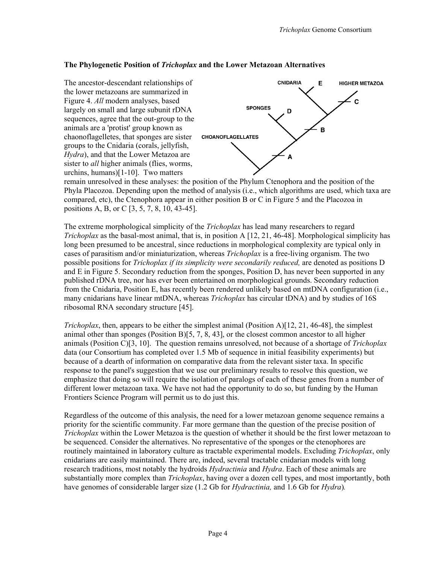# **The Phylogenetic Position of** *Trichoplax* **and the Lower Metazoan Alternatives**



Phyla Placozoa. Depending upon the method of analysis (i.e., which algorithms are used, which taxa are compared, etc), the Ctenophora appear in either position B or C in Figure 5 and the Placozoa in positions A, B, or C [3, 5, 7, 8, 10, 43-45].

The extreme morphological simplicity of the *Trichoplax* has lead many researchers to regard *Trichoplax* as the basal-most animal, that is, in position A [12, 21, 46-48]. Morphological simplicity has long been presumed to be ancestral, since reductions in morphological complexity are typical only in cases of parasitism and/or miniaturization, whereas *Trichoplax* is a free-living organism. The two possible positions for *Trichoplax if its simplicity were secondarily reduced,* are denoted as positions D and E in Figure 5. Secondary reduction from the sponges, Position D, has never been supported in any published rDNA tree, nor has ever been entertained on morphological grounds. Secondary reduction from the Cnidaria, Position E, has recently been rendered unlikely based on mtDNA configuration (i.e., many cnidarians have linear mtDNA, whereas *Trichoplax* has circular tDNA) and by studies of 16S ribosomal RNA secondary structure [45].

*Trichoplax*, then, appears to be either the simplest animal (Position A)[12, 21, 46-48], the simplest animal other than sponges (Position B) $[5, 7, 8, 43]$ , or the closest common ancestor to all higher animals (Position C)[3, 10]. The question remains unresolved, not because of a shortage of *Trichoplax* data (our Consortium has completed over 1.5 Mb of sequence in initial feasibility experiments) but because of a dearth of information on comparative data from the relevant sister taxa. In specific response to the panel's suggestion that we use our preliminary results to resolve this question, we emphasize that doing so will require the isolation of paralogs of each of these genes from a number of different lower metazoan taxa. We have not had the opportunity to do so, but funding by the Human Frontiers Science Program will permit us to do just this.

Regardless of the outcome of this analysis, the need for a lower metazoan genome sequence remains a priority for the scientific community. Far more germane than the question of the precise position of *Trichoplax* within the Lower Metazoa is the question of whether it should be the first lower metazoan to be sequenced. Consider the alternatives. No representative of the sponges or the ctenophores are routinely maintained in laboratory culture as tractable experimental models. Excluding *Trichoplax*, only cnidarians are easily maintained. There are, indeed, several tractable cnidarian models with long research traditions, most notably the hydroids *Hydractinia* and *Hydra*. Each of these animals are substantially more complex than *Trichoplax*, having over a dozen cell types, and most importantly, both have genomes of considerable larger size (1.2 Gb for *Hydractinia,* and 1.6 Gb for *Hydra*)*.*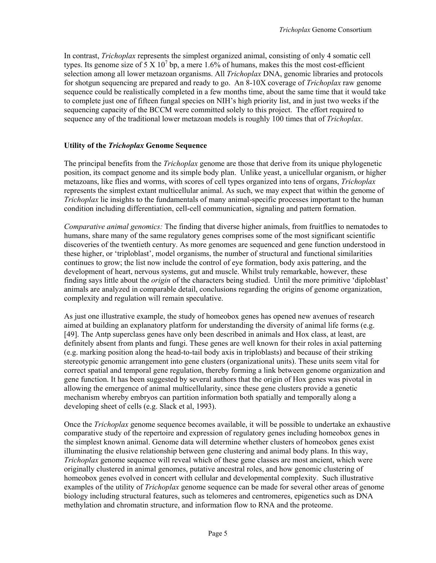In contrast, *Trichoplax* represents the simplest organized animal, consisting of only 4 somatic cell types. Its genome size of 5 X  $10^7$  bp, a mere 1.6% of humans, makes this the most cost-efficient selection among all lower metazoan organisms. All *Trichoplax* DNA, genomic libraries and protocols for shotgun sequencing are prepared and ready to go. An 8-10X coverage of *Trichoplax* raw genome sequence could be realistically completed in a few months time, about the same time that it would take to complete just one of fifteen fungal species on NIH's high priority list, and in just two weeks if the sequencing capacity of the BCCM were committed solely to this project. The effort required to sequence any of the traditional lower metazoan models is roughly 100 times that of *Trichoplax*.

## **Utility of the** *Trichoplax* **Genome Sequence**

The principal benefits from the *Trichoplax* genome are those that derive from its unique phylogenetic position, its compact genome and its simple body plan. Unlike yeast, a unicellular organism, or higher metazoans, like flies and worms, with scores of cell types organized into tens of organs, *Trichoplax* represents the simplest extant multicellular animal. As such, we may expect that within the genome of *Trichoplax* lie insights to the fundamentals of many animal-specific processes important to the human condition including differentiation, cell-cell communication, signaling and pattern formation.

*Comparative animal genomics:* The finding that diverse higher animals, from fruitflies to nematodes to humans, share many of the same regulatory genes comprises some of the most significant scientific discoveries of the twentieth century. As more genomes are sequenced and gene function understood in these higher, or 'triploblast', model organisms, the number of structural and functional similarities continues to grow; the list now include the control of eye formation, body axis pattering, and the development of heart, nervous systems, gut and muscle. Whilst truly remarkable, however, these finding says little about the *origin* of the characters being studied. Until the more primitive 'diploblast' animals are analyzed in comparable detail, conclusions regarding the origins of genome organization, complexity and regulation will remain speculative.

As just one illustrative example, the study of homeobox genes has opened new avenues of research aimed at building an explanatory platform for understanding the diversity of animal life forms (e.g. [49]. The Antp superclass genes have only been described in animals and Hox class, at least, are definitely absent from plants and fungi. These genes are well known for their roles in axial patterning (e.g. marking position along the head-to-tail body axis in triploblasts) and because of their striking stereotypic genomic arrangement into gene clusters (organizational units). These units seem vital for correct spatial and temporal gene regulation, thereby forming a link between genome organization and gene function. It has been suggested by several authors that the origin of Hox genes was pivotal in allowing the emergence of animal multicellularity, since these gene clusters provide a genetic mechanism whereby embryos can partition information both spatially and temporally along a developing sheet of cells (e.g. Slack et al, 1993).

Once the *Trichoplax* genome sequence becomes available, it will be possible to undertake an exhaustive comparative study of the repertoire and expression of regulatory genes including homeobox genes in the simplest known animal. Genome data will determine whether clusters of homeobox genes exist illuminating the elusive relationship between gene clustering and animal body plans. In this way, *Trichoplax* genome sequence will reveal which of these gene classes are most ancient, which were originally clustered in animal genomes, putative ancestral roles, and how genomic clustering of homeobox genes evolved in concert with cellular and developmental complexity. Such illustrative examples of the utility of *Trichoplax* genome sequence can be made for several other areas of genome biology including structural features, such as telomeres and centromeres, epigenetics such as DNA methylation and chromatin structure, and information flow to RNA and the proteome.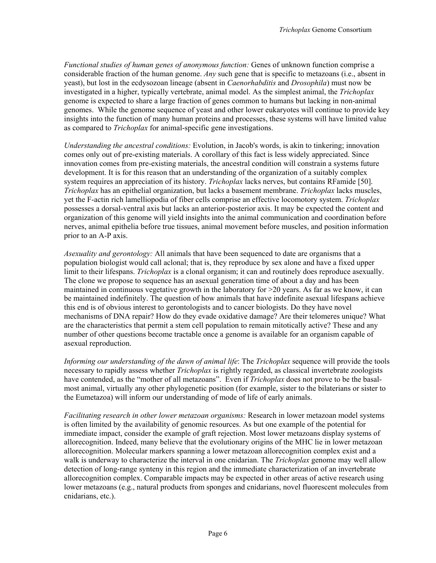*Functional studies of human genes of anonymous function:* Genes of unknown function comprise a considerable fraction of the human genome. *Any* such gene that is specific to metazoans (i.e., absent in yeast), but lost in the ecdysozoan lineage (absent in *Caenorhabditis* and *Drosophila*) must now be investigated in a higher, typically vertebrate, animal model. As the simplest animal, the *Trichoplax* genome is expected to share a large fraction of genes common to humans but lacking in non-animal genomes. While the genome sequence of yeast and other lower eukaryotes will continue to provide key insights into the function of many human proteins and processes, these systems will have limited value as compared to *Trichoplax* for animal-specific gene investigations.

*Understanding the ancestral conditions:* Evolution, in Jacob's words, is akin to tinkering; innovation comes only out of pre-existing materials. A corollary of this fact is less widely appreciated. Since innovation comes from pre-existing materials, the ancestral condition will constrain a systems future development. It is for this reason that an understanding of the organization of a suitably complex system requires an appreciation of its history. *Trichoplax* lacks nerves, but contains RFamide [50]. *Trichoplax* has an epithelial organization, but lacks a basement membrane. *Trichoplax* lacks muscles, yet the F-actin rich lamelliopodia of fiber cells comprise an effective locomotory system. *Trichoplax* possesses a dorsal-ventral axis but lacks an anterior-posterior axis. It may be expected the content and organization of this genome will yield insights into the animal communication and coordination before nerves, animal epithelia before true tissues, animal movement before muscles, and position information prior to an A-P axis.

*Asexuality and gerontology:* All animals that have been sequenced to date are organisms that a population biologist would call aclonal; that is, they reproduce by sex alone and have a fixed upper limit to their lifespans. *Trichoplax* is a clonal organism; it can and routinely does reproduce asexually. The clone we propose to sequence has an asexual generation time of about a day and has been maintained in continuous vegetative growth in the laboratory for  $>20$  years. As far as we know, it can be maintained indefinitely. The question of how animals that have indefinite asexual lifespans achieve this end is of obvious interest to gerontologists and to cancer biologists. Do they have novel mechanisms of DNA repair? How do they evade oxidative damage? Are their telomeres unique? What are the characteristics that permit a stem cell population to remain mitotically active? These and any number of other questions become tractable once a genome is available for an organism capable of asexual reproduction.

*Informing our understanding of the dawn of animal life*: The *Trichoplax* sequence will provide the tools necessary to rapidly assess whether *Trichoplax* is rightly regarded, as classical invertebrate zoologists have contended, as the "mother of all metazoans". Even if *Trichoplax* does not prove to be the basalmost animal, virtually any other phylogenetic position (for example, sister to the bilaterians or sister to the Eumetazoa) will inform our understanding of mode of life of early animals.

*Facilitating research in other lower metazoan organisms:* Research in lower metazoan model systems is often limited by the availability of genomic resources. As but one example of the potential for immediate impact, consider the example of graft rejection. Most lower metazoans display systems of allorecognition. Indeed, many believe that the evolutionary origins of the MHC lie in lower metazoan allorecognition. Molecular markers spanning a lower metazoan allorecognition complex exist and a walk is underway to characterize the interval in one cnidarian. The *Trichoplax* genome may well allow detection of long-range synteny in this region and the immediate characterization of an invertebrate allorecognition complex. Comparable impacts may be expected in other areas of active research using lower metazoans (e.g., natural products from sponges and cnidarians, novel fluorescent molecules from cnidarians, etc.).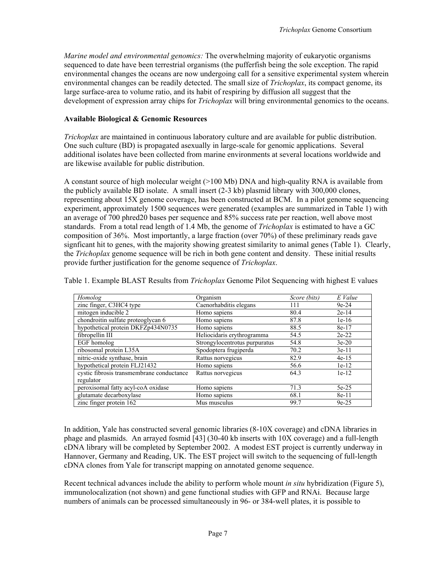*Marine model and environmental genomics:* The overwhelming majority of eukaryotic organisms sequenced to date have been terrestrial organisms (the pufferfish being the sole exception. The rapid environmental changes the oceans are now undergoing call for a sensitive experimental system wherein environmental changes can be readily detected. The small size of *Trichoplax*, its compact genome, its large surface-area to volume ratio, and its habit of respiring by diffusion all suggest that the development of expression array chips for *Trichoplax* will bring environmental genomics to the oceans.

## **Available Biological & Genomic Resources**

*Trichoplax* are maintained in continuous laboratory culture and are available for public distribution. One such culture (BD) is propagated asexually in large-scale for genomic applications. Several additional isolates have been collected from marine environments at several locations worldwide and are likewise available for public distribution.

A constant source of high molecular weight (>100 Mb) DNA and high-quality RNA is available from the publicly available BD isolate. A small insert (2-3 kb) plasmid library with 300,000 clones, representing about 15X genome coverage, has been constructed at BCM. In a pilot genome sequencing experiment, approximately 1500 sequences were generated (examples are summarized in Table 1) with an average of 700 phred20 bases per sequence and 85% success rate per reaction, well above most standards. From a total read length of 1.4 Mb, the genome of *Trichoplax* is estimated to have a GC composition of 36%. Most importantly, a large fraction (over 70%) of these preliminary reads gave signficant hit to genes, with the majority showing greatest similarity to animal genes (Table 1). Clearly, the *Trichoplax* genome sequence will be rich in both gene content and density. These initial results provide further justification for the genome sequence of *Trichoplax*.

Table 1. Example BLAST Results from *Trichoplax* Genome Pilot Sequencing with highest E values

| Homolog                                   | Organism                      | Score (bits) | E Value |
|-------------------------------------------|-------------------------------|--------------|---------|
| zinc finger, C3HC4 type                   | Caenorhabditis elegans        | 111          | $9e-24$ |
| mitogen inducible 2                       | Homo sapiens                  | 80.4         | $2e-14$ |
| chondroitin sulfate proteoglycan 6        | Homo sapiens                  | 87.8         | $1e-16$ |
| hypothetical protein DKFZp434N0735        | Homo sapiens                  | 88.5         | 8e-17   |
| fibropellin III                           | Heliocidaris erythrogramma    | 54.5         | $2e-22$ |
| EGF homolog                               | Strongylocentrotus purpuratus | 54.8         | $3e-20$ |
| ribosomal protein L35A                    | Spodoptera frugiperda         | 70.2         | $3e-11$ |
| nitric-oxide synthase, brain              | Rattus norvegicus             | 82.9         | $4e-15$ |
| hypothetical protein FLJ21432             | Homo sapiens                  | 56.6         | $1e-12$ |
| cystic fibrosis transmembrane conductance | Rattus norvegicus             | 64.3         | $1e-12$ |
| regulator                                 |                               |              |         |
| peroxisomal fatty acyl-coA oxidase        | Homo sapiens                  | 71.3         | $5e-25$ |
| glutamate decarboxylase                   | Homo sapiens                  | 68.1         | $8e-11$ |
| zinc finger protein 162                   | Mus musculus                  | 99.7         | $9e-25$ |

In addition, Yale has constructed several genomic libraries (8-10X coverage) and cDNA libraries in phage and plasmids. An arrayed fosmid [43] (30-40 kb inserts with 10X coverage) and a full-length cDNA library will be completed by September 2002. A modest EST project is currently underway in Hannover, Germany and Reading, UK. The EST project will switch to the sequencing of full-length cDNA clones from Yale for transcript mapping on annotated genome sequence.

Recent technical advances include the ability to perform whole mount *in situ* hybridization (Figure 5), immunolocalization (not shown) and gene functional studies with GFP and RNAi. Because large numbers of animals can be processed simultaneously in 96- or 384-well plates, it is possible to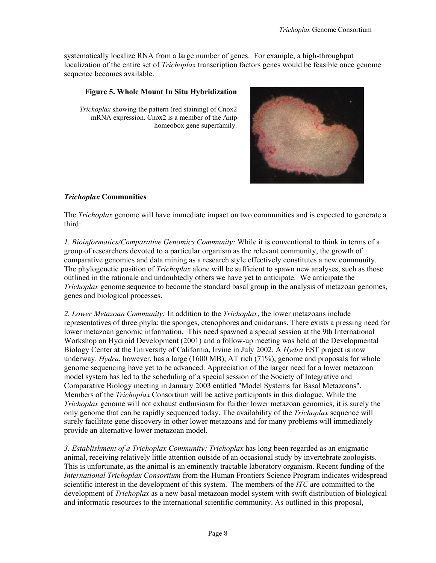systematically localize RNA from a large number of genes. For example, a high-throughput localization of the entire set of *Trichoplax* transcription factors genes would be feasible once genome sequence becomes available.

## **Figure 5. Whole Mount In Situ Hybridization**

*Trichoplax* showing the pattern (red staining) of Cnox2 mRNA expression. Cnox2 is a member of the Antp homeobox gene superfamily.

## *Trichoplax* **Communities**

The *Trichoplax* genome will have immediate impact on two communities and is expected to generate a third:

*1. Bioinformatics/Comparative Genomics Community:* While it is conventional to think in terms of a group of researchers devoted to a particular organism as the relevant community, the growth of comparative genomics and data mining as a research style effectively constitutes a new community. The phylogenetic position of *Trichoplax* alone will be sufficient to spawn new analyses, such as those outlined in the rationale and undoubtedly others we have yet to anticipate. We anticipate the *Trichoplax* genome sequence to become the standard basal group in the analysis of metazoan genomes, genes and biological processes.

*2. Lower Metazoan Community:* In addition to the *Trichoplax*, the lower metazoans include representatives of three phyla: the sponges, ctenophores and cnidarians. There exists a pressing need for lower metazoan genomic information. This need spawned a special session at the 9th International Workshop on Hydroid Development (2001) and a follow-up meeting was held at the Developmental Biology Center at the University of California, Irvine in July 2002. A *Hydra* EST project is now underway. *Hydra*, however, has a large (1600 MB), AT rich (71%), genome and proposals for whole genome sequencing have yet to be advanced. Appreciation of the larger need for a lower metazoan model system has led to the scheduling of a special session of the Society of Integrative and Comparative Biology meeting in January 2003 entitled "Model Systems for Basal Metazoans". Members of the *Trichoplax* Consortium will be active participants in this dialogue. While the *Trichoplax* genome will not exhaust enthusiasm for further lower metazoan genomics, it is surely the only genome that can be rapidly sequenced today. The availability of the *Trichoplax* sequence will surely facilitate gene discovery in other lower metazoans and for many problems will immediately provide an alternative lower metazoan model.

*3. Establishment of a Trichoplax Community: Trichoplax* has long been regarded as an enigmatic animal, receiving relatively little attention outside of an occasional study by invertebrate zoologists. This is unfortunate, as the animal is an eminently tractable laboratory organism. Recent funding of the *International Trichoplax Consortium* from the Human Frontiers Science Program indicates widespread scientific interest in the development of this system. The members of the *ITC* are committed to the development of *Trichoplax* as a new basal metazoan model system with swift distribution of biological and informatic resources to the international scientific community. As outlined in this proposal,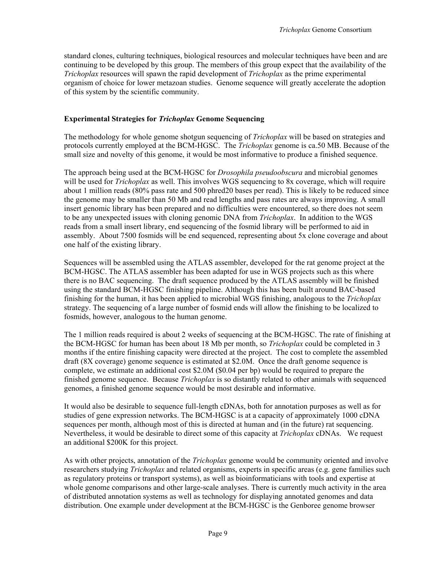standard clones, culturing techniques, biological resources and molecular techniques have been and are continuing to be developed by this group. The members of this group expect that the availability of the *Trichoplax* resources will spawn the rapid development of *Trichoplax* as the prime experimental organism of choice for lower metazoan studies. Genome sequence will greatly accelerate the adoption of this system by the scientific community.

## **Experimental Strategies for** *Trichoplax* **Genome Sequencing**

The methodology for whole genome shotgun sequencing of *Trichoplax* will be based on strategies and protocols currently employed at the BCM-HGSC. The *Trichoplax* genome is ca.50 MB. Because of the small size and novelty of this genome, it would be most informative to produce a finished sequence.

The approach being used at the BCM-HGSC for *Drosophila pseudoobscura* and microbial genomes will be used for *Trichoplax* as well. This involves WGS sequencing to 8x coverage, which will require about 1 million reads (80% pass rate and 500 phred20 bases per read). This is likely to be reduced since the genome may be smaller than 50 Mb and read lengths and pass rates are always improving. A small insert genomic library has been prepared and no difficulties were encountered, so there does not seem to be any unexpected issues with cloning genomic DNA from *Trichoplax*. In addition to the WGS reads from a small insert library, end sequencing of the fosmid library will be performed to aid in assembly. About 7500 fosmids will be end sequenced, representing about 5x clone coverage and about one half of the existing library.

Sequences will be assembled using the ATLAS assembler, developed for the rat genome project at the BCM-HGSC. The ATLAS assembler has been adapted for use in WGS projects such as this where there is no BAC sequencing. The draft sequence produced by the ATLAS assembly will be finished using the standard BCM-HGSC finishing pipeline. Although this has been built around BAC-based finishing for the human, it has been applied to microbial WGS finishing, analogous to the *Trichoplax* strategy. The sequencing of a large number of fosmid ends will allow the finishing to be localized to fosmids, however, analogous to the human genome.

The 1 million reads required is about 2 weeks of sequencing at the BCM-HGSC. The rate of finishing at the BCM-HGSC for human has been about 18 Mb per month, so *Trichoplax* could be completed in 3 months if the entire finishing capacity were directed at the project. The cost to complete the assembled draft (8X coverage) genome sequence is estimated at \$2.0M. Once the draft genome sequence is complete, we estimate an additional cost \$2.0M (\$0.04 per bp) would be required to prepare the finished genome sequence. Because *Trichoplax* is so distantly related to other animals with sequenced genomes, a finished genome sequence would be most desirable and informative.

It would also be desirable to sequence full-length cDNAs, both for annotation purposes as well as for studies of gene expression networks. The BCM-HGSC is at a capacity of approximately 1000 cDNA sequences per month, although most of this is directed at human and (in the future) rat sequencing. Nevertheless, it would be desirable to direct some of this capacity at *Trichoplax* cDNAs. We request an additional \$200K for this project.

As with other projects, annotation of the *Trichoplax* genome would be community oriented and involve researchers studying *Trichoplax* and related organisms, experts in specific areas (e.g. gene families such as regulatory proteins or transport systems), as well as bioinformaticians with tools and expertise at whole genome comparisons and other large-scale analyses. There is currently much activity in the area of distributed annotation systems as well as technology for displaying annotated genomes and data distribution. One example under development at the BCM-HGSC is the Genboree genome browser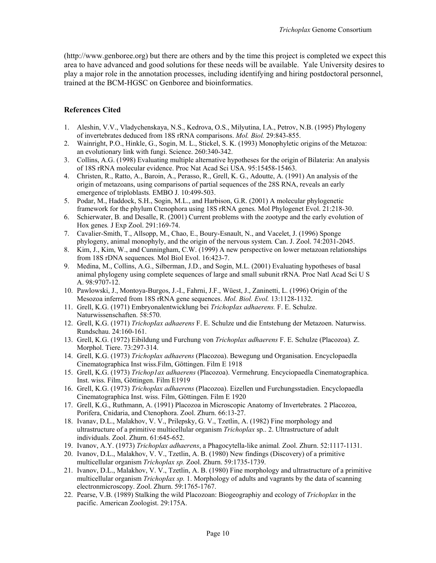(http://www.genboree.org) but there are others and by the time this project is completed we expect this area to have advanced and good solutions for these needs will be available. Yale University desires to play a major role in the annotation processes, including identifying and hiring postdoctoral personnel, trained at the BCM-HGSC on Genboree and bioinformatics.

#### **References Cited**

- 1. Aleshin, V.V., Vladychenskaya, N.S., Kedrova, O.S., Milyutina, I.A., Petrov, N.B. (1995) Phylogeny of invertebrates deduced from 18S rRNA comparisons. *Mol. Biol.* 29:843-855.
- 2. Wainright, P.O., Hinkle, G., Sogin, M. L., Stickel, S. K. (1993) Monophyletic origins of the Metazoa: an evolutionary link with fungi. Science. 260:340-342.
- 3. Collins, A.G. (1998) Evaluating multiple alternative hypotheses for the origin of Bilateria: An analysis of 18S rRNA molecular evidence. Proc Nat Acad Sci USA. 95:15458-15463.
- 4. Christen, R., Ratto, A., Baroin, A., Perasso, R., Grell, K. G., Adoutte, A. (1991) An analysis of the origin of metazoans, using comparisons of partial sequences of the 28S RNA, reveals an early emergence of triploblasts*.* EMBO J. 10:499-503.
- 5. Podar, M., Haddock, S.H., Sogin, M.L., and Harbison, G.R. (2001) A molecular phylogenetic framework for the phylum Ctenophora using 18S rRNA genes*.* Mol Phylogenet Evol. 21:218-30.
- 6. Schierwater, B. and Desalle, R. (2001) Current problems with the zootype and the early evolution of Hox genes*.* J Exp Zool. 291:169-74.
- 7. Cavalier-Smith, T., Allsopp, M., Chao, E., Boury-Esnault, N., and Vacelet, J. (1996) Sponge phylogeny, animal monophyly, and the origin of the nervous system*.* Can. J. Zool. 74:2031-2045.
- 8. Kim, J., Kim, W., and Cunningham, C.W. (1999) A new perspective on lower metazoan relationships from 18S rDNA sequences*.* Mol Biol Evol. 16:423-7.
- 9. Medina, M., Collins, A.G., Silberman, J.D., and Sogin, M.L. (2001) Evaluating hypotheses of basal animal phylogeny using complete sequences of large and small subunit rRNA*.* Proc Natl Acad Sci U S A. 98:9707-12.
- 10. Pawlowski, J., Montoya-Burgos, J.-I., Fahrni, J.F., Wüest, J., Zaninetti, L. (1996) Origin of the Mesozoa inferred from 18S rRNA gene sequences. *Mol. Biol. Evol.* 13:1128-1132.
- 11. Grell, K.G. (1971) Embryonalentwicklung bei *TrichopIax adhaerens.* F. E. Schulze. Naturwissenschaften. 58:570.
- 12. Grell, K.G. (1971) *TrichopIax adhaerens* F. E. Schulze und die Entstehung der Metazoen. Naturwiss. Rundschau. 24:160-161.
- 13. Grell, K.G. (1972) Eibildung und Furchung von *Trichoplax adhaerens* F. E. Schulze (Placozoa)*.* Z. Morphol. Tiere. 73:297-314.
- 14. Grell, K.G. (1973) *Trichoplax adhaerens* (Placozoa). Bewegung und Organisation. Encyclopaedla Cinematographica Inst wiss.Film, Göttingen. Film E 1918
- 15. Grell, K.G. (1973) *Trichop1ax adhaerens* (Placozoa). Vermehrung. Encyciopaedla Cinematographica. Inst. wiss. Film, Göttingen. Film E1919
- 16. Grell, K.G. (1973) *Trichoplax adhaerens* (Placozoa). Eizellen und Furchungsstadien. Encyclopaedla Cinematographica Inst. wiss. Film, Göttingen. Film E 1920
- 17. Grell, K.G., Ruthmann, A. (1991) Placozoa in Microscopic Anatomy of Invertebrates*.* 2 Placozoa, Porifera, Cnidaria, and Ctenophora. Zool. Zhurn. 66:13-27.
- 18. Ivanav, D.L., Malakhov, V. V., Prilepsky, G. V., Tzetlin, A. (1982) Fine morphology and ultrastructure of a primitive multicellular organism *Trichoplax* sp.. 2. Ultrastructure of adult individuals. Zool. Zhurn. 61:645-652.
- 19. Ivanov, A.Y. (1973) *Trichoplax adhaerens*, a Phagocytella-like animal*.* Zool. Zhurn. 52:1117-1131.
- 20. Ivanov, D.L., Malakhov, V. V., Tzetlin, A. B. (1980) New findings (Discovery) of a primitive multicellular organism *Trichoplax sp.* Zool. Zhurn. 59:1735-1739.
- 21. Ivanov, D.L., Malakhov, V. V., Tzetlin, A. B. (1980) Fine morphology and ultrastructure of a primitive multicellular organism *TrichopIax sp.* 1. Morphology of adults and vagrants by the data of scanning electronmicroscopy. Zool. Zhurn. 59:1765-1767.
- 22. Pearse, V.B. (1989) Stalking the wild Placozoan: Biogeographiy and ecology of *Trichoplax* in the pacific. American Zoologist. 29:175A.